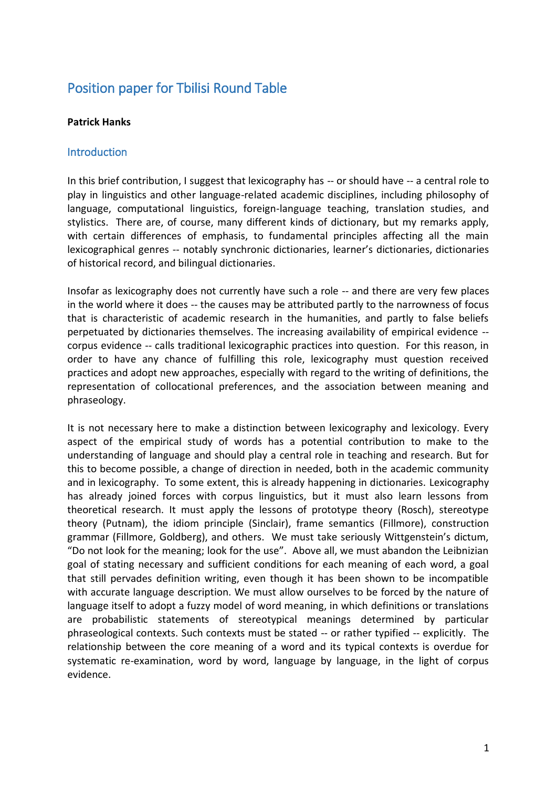# Position paper for Tbilisi Round Table

#### **Patrick Hanks**

### **Introduction**

In this brief contribution, I suggest that lexicography has -- or should have -- a central role to play in linguistics and other language-related academic disciplines, including philosophy of language, computational linguistics, foreign-language teaching, translation studies, and stylistics. There are, of course, many different kinds of dictionary, but my remarks apply, with certain differences of emphasis, to fundamental principles affecting all the main lexicographical genres -- notably synchronic dictionaries, learner's dictionaries, dictionaries of historical record, and bilingual dictionaries.

Insofar as lexicography does not currently have such a role -- and there are very few places in the world where it does -- the causes may be attributed partly to the narrowness of focus that is characteristic of academic research in the humanities, and partly to false beliefs perpetuated by dictionaries themselves. The increasing availability of empirical evidence - corpus evidence -- calls traditional lexicographic practices into question. For this reason, in order to have any chance of fulfilling this role, lexicography must question received practices and adopt new approaches, especially with regard to the writing of definitions, the representation of collocational preferences, and the association between meaning and phraseology.

It is not necessary here to make a distinction between lexicography and lexicology. Every aspect of the empirical study of words has a potential contribution to make to the understanding of language and should play a central role in teaching and research. But for this to become possible, a change of direction in needed, both in the academic community and in lexicography. To some extent, this is already happening in dictionaries. Lexicography has already joined forces with corpus linguistics, but it must also learn lessons from theoretical research. It must apply the lessons of prototype theory (Rosch), stereotype theory (Putnam), the idiom principle (Sinclair), frame semantics (Fillmore), construction grammar (Fillmore, Goldberg), and others. We must take seriously Wittgenstein's dictum, "Do not look for the meaning; look for the use". Above all, we must abandon the Leibnizian goal of stating necessary and sufficient conditions for each meaning of each word, a goal that still pervades definition writing, even though it has been shown to be incompatible with accurate language description. We must allow ourselves to be forced by the nature of language itself to adopt a fuzzy model of word meaning, in which definitions or translations are probabilistic statements of stereotypical meanings determined by particular phraseological contexts. Such contexts must be stated -- or rather typified -- explicitly. The relationship between the core meaning of a word and its typical contexts is overdue for systematic re-examination, word by word, language by language, in the light of corpus evidence.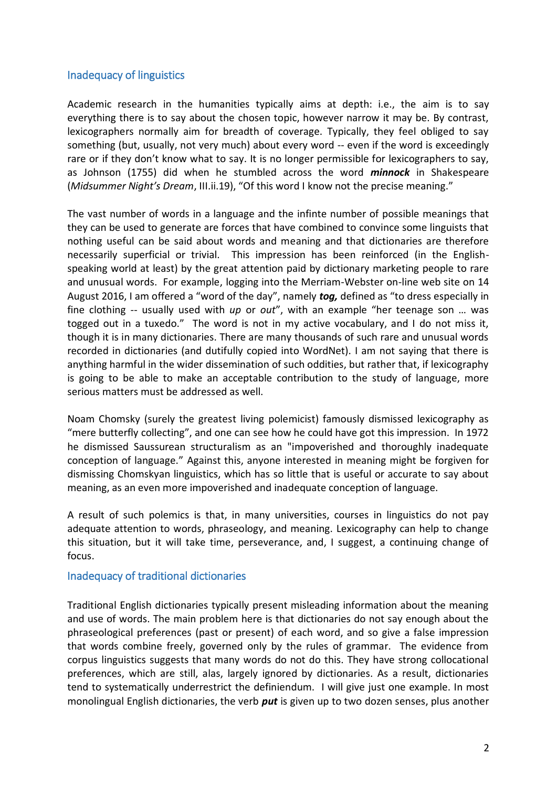# Inadequacy of linguistics

Academic research in the humanities typically aims at depth: i.e., the aim is to say everything there is to say about the chosen topic, however narrow it may be. By contrast, lexicographers normally aim for breadth of coverage. Typically, they feel obliged to say something (but, usually, not very much) about every word -- even if the word is exceedingly rare or if they don't know what to say. It is no longer permissible for lexicographers to say, as Johnson (1755) did when he stumbled across the word *minnock* in Shakespeare (*Midsummer Night's Dream*, III.ii.19), "Of this word I know not the precise meaning."

The vast number of words in a language and the infinte number of possible meanings that they can be used to generate are forces that have combined to convince some linguists that nothing useful can be said about words and meaning and that dictionaries are therefore necessarily superficial or trivial. This impression has been reinforced (in the Englishspeaking world at least) by the great attention paid by dictionary marketing people to rare and unusual words. For example, logging into the Merriam-Webster on-line web site on 14 August 2016, I am offered a "word of the day", namely *tog,* defined as "to dress especially in fine clothing -- usually used with *up* or *out*", with an example "her teenage son … was togged out in a tuxedo." The word is not in my active vocabulary, and I do not miss it, though it is in many dictionaries. There are many thousands of such rare and unusual words recorded in dictionaries (and dutifully copied into WordNet). I am not saying that there is anything harmful in the wider dissemination of such oddities, but rather that, if lexicography is going to be able to make an acceptable contribution to the study of language, more serious matters must be addressed as well.

Noam Chomsky (surely the greatest living polemicist) famously dismissed lexicography as "mere butterfly collecting", and one can see how he could have got this impression. In 1972 he dismissed Saussurean structuralism as an "impoverished and thoroughly inadequate conception of language." Against this, anyone interested in meaning might be forgiven for dismissing Chomskyan linguistics, which has so little that is useful or accurate to say about meaning, as an even more impoverished and inadequate conception of language.

A result of such polemics is that, in many universities, courses in linguistics do not pay adequate attention to words, phraseology, and meaning. Lexicography can help to change this situation, but it will take time, perseverance, and, I suggest, a continuing change of focus.

#### Inadequacy of traditional dictionaries

Traditional English dictionaries typically present misleading information about the meaning and use of words. The main problem here is that dictionaries do not say enough about the phraseological preferences (past or present) of each word, and so give a false impression that words combine freely, governed only by the rules of grammar. The evidence from corpus linguistics suggests that many words do not do this. They have strong collocational preferences, which are still, alas, largely ignored by dictionaries. As a result, dictionaries tend to systematically underrestrict the definiendum. I will give just one example. In most monolingual English dictionaries, the verb *put* is given up to two dozen senses, plus another